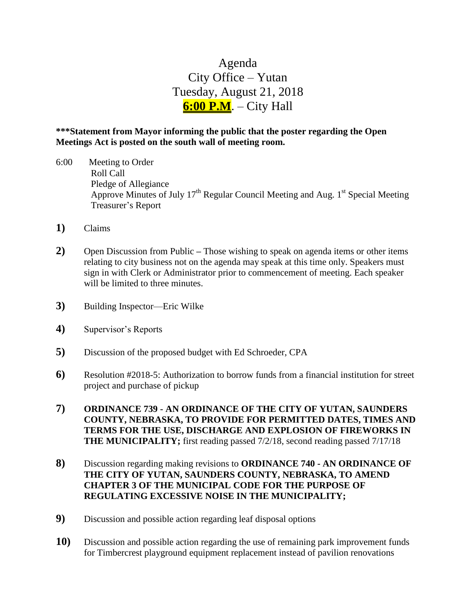## Agenda City Office – Yutan Tuesday, August 21, 2018 **6:00 P.M**. – City Hall

## **\*\*\*Statement from Mayor informing the public that the poster regarding the Open Meetings Act is posted on the south wall of meeting room.**

- 6:00 Meeting to Order Roll Call Pledge of Allegiance Approve Minutes of July 17<sup>th</sup> Regular Council Meeting and Aug. 1<sup>st</sup> Special Meeting Treasurer's Report
- **1)** Claims
- **2)** Open Discussion from Public **–** Those wishing to speak on agenda items or other items relating to city business not on the agenda may speak at this time only. Speakers must sign in with Clerk or Administrator prior to commencement of meeting. Each speaker will be limited to three minutes.
- **3)** Building Inspector—Eric Wilke
- **4)** Supervisor's Reports
- **5)** Discussion of the proposed budget with Ed Schroeder, CPA
- **6)** Resolution #2018-5: Authorization to borrow funds from a financial institution for street project and purchase of pickup
- **7) ORDINANCE 739 - AN ORDINANCE OF THE CITY OF YUTAN, SAUNDERS COUNTY, NEBRASKA, TO PROVIDE FOR PERMITTED DATES, TIMES AND TERMS FOR THE USE, DISCHARGE AND EXPLOSION OF FIREWORKS IN THE MUNICIPALITY;** first reading passed 7/2/18, second reading passed 7/17/18
- **8)** Discussion regarding making revisions to **ORDINANCE 740 - AN ORDINANCE OF THE CITY OF YUTAN, SAUNDERS COUNTY, NEBRASKA, TO AMEND CHAPTER 3 OF THE MUNICIPAL CODE FOR THE PURPOSE OF REGULATING EXCESSIVE NOISE IN THE MUNICIPALITY;**
- **9)** Discussion and possible action regarding leaf disposal options
- **10)** Discussion and possible action regarding the use of remaining park improvement funds for Timbercrest playground equipment replacement instead of pavilion renovations